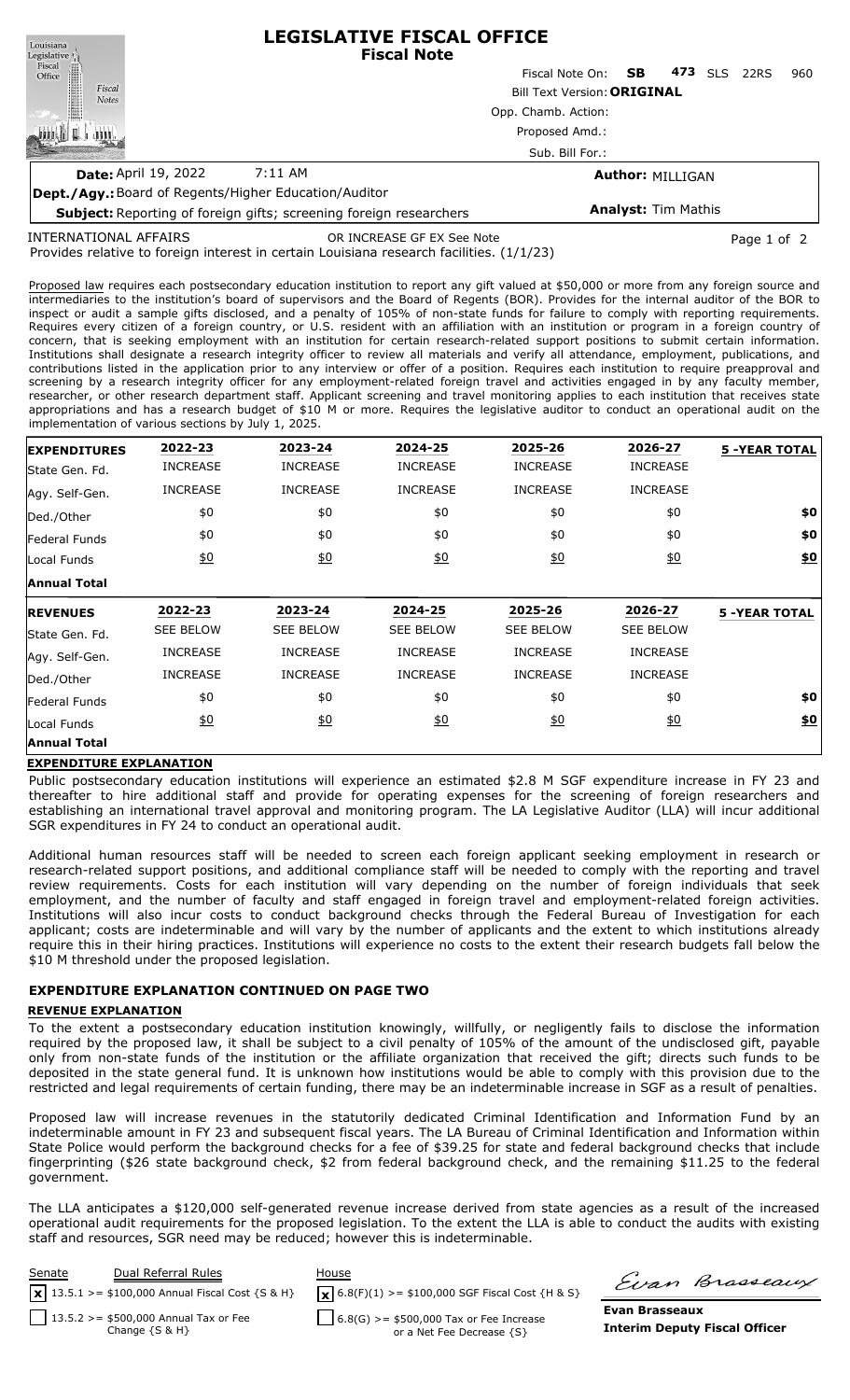| Louisiana                                                                 | <b>LEGISLATIVE FISCAL OFFICE</b><br><b>Fiscal Note</b> |                         |     |     |            |      |     |  |  |
|---------------------------------------------------------------------------|--------------------------------------------------------|-------------------------|-----|-----|------------|------|-----|--|--|
|                                                                           |                                                        | Fiscal Note On:         | SB. | 473 | <b>SLS</b> | 22RS | 960 |  |  |
| Legislative<br>Fiscal<br>Office<br>Fiscal<br><b>Notes</b>                 | <b>Bill Text Version: ORIGINAL</b>                     |                         |     |     |            |      |     |  |  |
|                                                                           | Opp. Chamb. Action:                                    |                         |     |     |            |      |     |  |  |
|                                                                           | Proposed Amd.:                                         |                         |     |     |            |      |     |  |  |
|                                                                           | Sub. Bill For.:                                        |                         |     |     |            |      |     |  |  |
| <b>Date: April 19, 2022</b>                                               | 7:11 AM                                                | <b>Author: MILLIGAN</b> |     |     |            |      |     |  |  |
| <b>Dept./Agy.:</b> Board of Regents/Higher Education/Auditor              |                                                        |                         |     |     |            |      |     |  |  |
| <b>Subject:</b> Reporting of foreign gifts; screening foreign researchers | <b>Analyst: Tim Mathis</b>                             |                         |     |     |            |      |     |  |  |

INTERNATIONAL AFFAIRS

OR INCREASE GF EX See Note **Page 1 of 2** and 2

Provides relative to foreign interest in certain Louisiana research facilities. (1/1/23)

Proposed law requires each postsecondary education institution to report any gift valued at \$50,000 or more from any foreign source and intermediaries to the institution's board of supervisors and the Board of Regents (BOR). Provides for the internal auditor of the BOR to inspect or audit a sample gifts disclosed, and a penalty of 105% of non-state funds for failure to comply with reporting requirements. Requires every citizen of a foreign country, or U.S. resident with an affiliation with an institution or program in a foreign country of concern, that is seeking employment with an institution for certain research-related support positions to submit certain information. Institutions shall designate a research integrity officer to review all materials and verify all attendance, employment, publications, and contributions listed in the application prior to any interview or offer of a position. Requires each institution to require preapproval and screening by a research integrity officer for any employment-related foreign travel and activities engaged in by any faculty member, researcher, or other research department staff. Applicant screening and travel monitoring applies to each institution that receives state appropriations and has a research budget of \$10 M or more. Requires the legislative auditor to conduct an operational audit on the implementation of various sections by July 1, 2025.

| <b>EXPENDITURES</b> | 2022-23          | 2023-24          | 2024-25          | 2025-26           | 2026-27           | <b>5 -YEAR TOTAL</b> |
|---------------------|------------------|------------------|------------------|-------------------|-------------------|----------------------|
| State Gen. Fd.      | <b>INCREASE</b>  | <b>INCREASE</b>  | <b>INCREASE</b>  | <b>INCREASE</b>   | <b>INCREASE</b>   |                      |
| Agy. Self-Gen.      | <b>INCREASE</b>  | <b>INCREASE</b>  | <b>INCREASE</b>  | <b>INCREASE</b>   | <b>INCREASE</b>   |                      |
| Ded./Other          | \$0              | \$0              | \$0              | \$0               | \$0               | \$0                  |
| Federal Funds       | \$0              | \$0              | \$0              | \$0               | \$0               | \$0                  |
| Local Funds         | 60               | 60               | 60               | $\underline{\$0}$ | $\underline{\$0}$ | $\underline{\$0}$    |
| <b>Annual Total</b> |                  |                  |                  |                   |                   |                      |
| <b>REVENUES</b>     | 2022-23          | 2023-24          | 2024-25          | 2025-26           | 2026-27           | <b>5 -YEAR TOTAL</b> |
| lState Gen. Fd.     | <b>SEE BELOW</b> | <b>SEE BELOW</b> | <b>SEE BELOW</b> | <b>SEE BELOW</b>  | <b>SEE BELOW</b>  |                      |
| Agy. Self-Gen.      | <b>INCREASE</b>  | <b>INCREASE</b>  | <b>INCREASE</b>  | <b>INCREASE</b>   | <b>INCREASE</b>   |                      |
| Ded./Other          | <b>INCREASE</b>  | <b>INCREASE</b>  | <b>INCREASE</b>  | <b>INCREASE</b>   | <b>INCREASE</b>   |                      |
| Federal Funds       | \$0              | \$0              | \$0              | \$0               | \$0               | \$0                  |
| Local Funds         | \$0              | 60               | $\underline{50}$ | 60                | $\underline{50}$  | \$0                  |
|                     |                  |                  |                  |                   |                   |                      |

### **EXPENDITURE EXPLANATION**

Public postsecondary education institutions will experience an estimated \$2.8 M SGF expenditure increase in FY 23 and thereafter to hire additional staff and provide for operating expenses for the screening of foreign researchers and establishing an international travel approval and monitoring program. The LA Legislative Auditor (LLA) will incur additional SGR expenditures in FY 24 to conduct an operational audit.

Additional human resources staff will be needed to screen each foreign applicant seeking employment in research or research-related support positions, and additional compliance staff will be needed to comply with the reporting and travel review requirements. Costs for each institution will vary depending on the number of foreign individuals that seek employment, and the number of faculty and staff engaged in foreign travel and employment-related foreign activities. Institutions will also incur costs to conduct background checks through the Federal Bureau of Investigation for each applicant; costs are indeterminable and will vary by the number of applicants and the extent to which institutions already require this in their hiring practices. Institutions will experience no costs to the extent their research budgets fall below the \$10 M threshold under the proposed legislation.

# **EXPENDITURE EXPLANATION CONTINUED ON PAGE TWO**

### **REVENUE EXPLANATION**

To the extent a postsecondary education institution knowingly, willfully, or negligently fails to disclose the information required by the proposed law, it shall be subject to a civil penalty of 105% of the amount of the undisclosed gift, payable only from non-state funds of the institution or the affiliate organization that received the gift; directs such funds to be deposited in the state general fund. It is unknown how institutions would be able to comply with this provision due to the restricted and legal requirements of certain funding, there may be an indeterminable increase in SGF as a result of penalties.

Proposed law will increase revenues in the statutorily dedicated Criminal Identification and Information Fund by an indeterminable amount in FY 23 and subsequent fiscal years. The LA Bureau of Criminal Identification and Information within State Police would perform the background checks for a fee of \$39.25 for state and federal background checks that include fingerprinting (\$26 state background check, \$2 from federal background check, and the remaining \$11.25 to the federal government.

The LLA anticipates a \$120,000 self-generated revenue increase derived from state agencies as a result of the increased operational audit requirements for the proposed legislation. To the extent the LLA is able to conduct the audits with existing staff and resources, SGR need may be reduced; however this is indeterminable.



Evan Brasseaux

**Evan Brasseaux Interim Deputy Fiscal Officer**